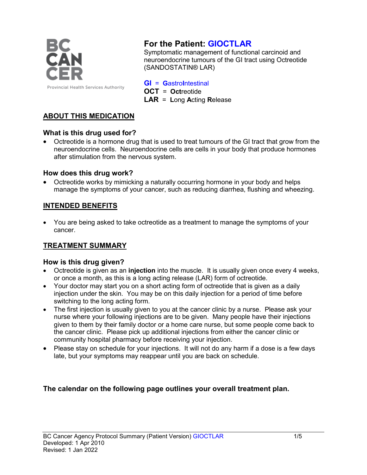

# **For the Patient: GIOCTLAR**

Symptomatic management of functional carcinoid and neuroendocrine tumours of the GI tract using Octreotide (SANDOSTATIN® LAR)

**GI** = **G**astro**I**ntestinal

**OCT** = **Oct**reotide

**LAR** = **L**ong **A**cting **R**elease

## **ABOUT THIS MEDICATION**

## **What is this drug used for?**

• Octreotide is a hormone drug that is used to treat tumours of the GI tract that grow from the neuroendocrine cells. Neuroendocrine cells are cells in your body that produce hormones after stimulation from the nervous system.

## **How does this drug work?**

• Octreotide works by mimicking a naturally occurring hormone in your body and helps manage the symptoms of your cancer, such as reducing diarrhea, flushing and wheezing.

## **INTENDED BENEFITS**

• You are being asked to take octreotide as a treatment to manage the symptoms of your cancer.

## **TREATMENT SUMMARY**

### **How is this drug given?**

- Octreotide is given as an **injection** into the muscle. It is usually given once every 4 weeks, or once a month, as this is a long acting release (LAR) form of octreotide.
- Your doctor may start you on a short acting form of octreotide that is given as a daily injection under the skin. You may be on this daily injection for a period of time before switching to the long acting form.
- The first injection is usually given to you at the cancer clinic by a nurse. Please ask your nurse where your following injections are to be given. Many people have their injections given to them by their family doctor or a home care nurse, but some people come back to the cancer clinic. Please pick up additional injections from either the cancer clinic or community hospital pharmacy before receiving your injection.
- Please stay on schedule for your injections. It will not do any harm if a dose is a few days late, but your symptoms may reappear until you are back on schedule.

## **The calendar on the following page outlines your overall treatment plan.**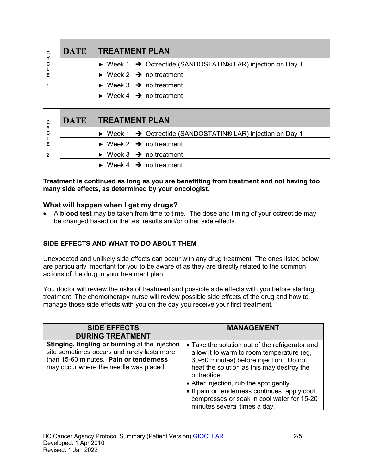| C      | <b>DATE</b> | <b>TREATMENT PLAN</b>                                                                  |  |  |
|--------|-------------|----------------------------------------------------------------------------------------|--|--|
| C<br>Е |             | $\triangleright$ Week 1 $\rightarrow$ Octreotide (SANDOSTATIN® LAR) injection on Day 1 |  |  |
|        |             | $\triangleright$ Week 2 $\rightarrow$ no treatment                                     |  |  |
|        |             | $\triangleright$ Week 3 $\rightarrow$ no treatment                                     |  |  |
|        |             | $\triangleright$ Week 4 $\rightarrow$ no treatment                                     |  |  |

| C              | <b>DATE</b> | <b>TREATMENT PLAN</b>                                                                  |  |  |
|----------------|-------------|----------------------------------------------------------------------------------------|--|--|
| Y<br>C         |             | $\triangleright$ Week 1 $\rightarrow$ Octreotide (SANDOSTATIN® LAR) injection on Day 1 |  |  |
| Е              |             | $\triangleright$ Week 2 $\rightarrow$ no treatment                                     |  |  |
| $\overline{2}$ |             | $\triangleright$ Week 3 $\rightarrow$ no treatment                                     |  |  |
|                |             | $\triangleright$ Week 4 $\rightarrow$ no treatment                                     |  |  |

#### **Treatment is continued as long as you are benefitting from treatment and not having too many side effects, as determined by your oncologist.**

### **What will happen when I get my drugs?**

• A **blood test** may be taken from time to time. The dose and timing of your octreotide may be changed based on the test results and/or other side effects.

## **SIDE EFFECTS AND WHAT TO DO ABOUT THEM**

Unexpected and unlikely side effects can occur with any drug treatment. The ones listed below are particularly important for you to be aware of as they are directly related to the common actions of the drug in your treatment plan.

You doctor will review the risks of treatment and possible side effects with you before starting treatment. The chemotherapy nurse will review possible side effects of the drug and how to manage those side effects with you on the day you receive your first treatment.

| <b>SIDE EFFECTS</b><br><b>DURING TREATMENT</b>                                                                                                                                    | <b>MANAGEMENT</b>                                                                                                                                                                                                                                                                                                                                                             |
|-----------------------------------------------------------------------------------------------------------------------------------------------------------------------------------|-------------------------------------------------------------------------------------------------------------------------------------------------------------------------------------------------------------------------------------------------------------------------------------------------------------------------------------------------------------------------------|
| Stinging, tingling or burning at the injection<br>site sometimes occurs and rarely lasts more<br>than 15-60 minutes. Pain or tenderness<br>may occur where the needle was placed. | • Take the solution out of the refrigerator and<br>allow it to warm to room temperature (eg,<br>30-60 minutes) before injection. Do not<br>heat the solution as this may destroy the<br>octreotide.<br>• After injection, rub the spot gently.<br>• If pain or tenderness continues, apply cool<br>compresses or soak in cool water for 15-20<br>minutes several times a day. |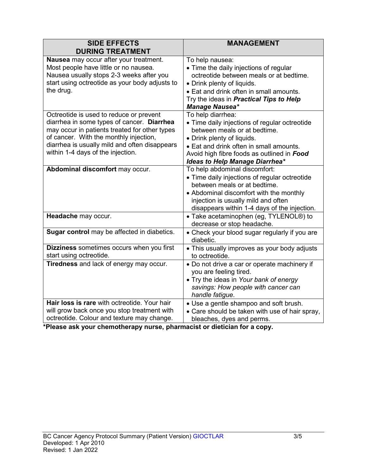| <b>SIDE EFFECTS</b><br><b>DURING TREATMENT</b>                                                                                                                                                                                                                         | <b>MANAGEMENT</b>                                                                                                                                                                                                                                                  |
|------------------------------------------------------------------------------------------------------------------------------------------------------------------------------------------------------------------------------------------------------------------------|--------------------------------------------------------------------------------------------------------------------------------------------------------------------------------------------------------------------------------------------------------------------|
| Nausea may occur after your treatment.<br>Most people have little or no nausea.<br>Nausea usually stops 2-3 weeks after you<br>start using octreotide as your body adjusts to<br>the drug.                                                                             | To help nausea:<br>• Time the daily injections of regular<br>octreotide between meals or at bedtime.<br>• Drink plenty of liquids.<br>• Eat and drink often in small amounts.<br>Try the ideas in <b>Practical Tips to Help</b><br><b>Manage Nausea*</b>           |
| Octreotide is used to reduce or prevent<br>diarrhea in some types of cancer. Diarrhea<br>may occur in patients treated for other types<br>of cancer. With the monthly injection,<br>diarrhea is usually mild and often disappears<br>within 1-4 days of the injection. | To help diarrhea:<br>• Time daily injections of regular octreotide<br>between meals or at bedtime.<br>• Drink plenty of liquids.<br>• Eat and drink often in small amounts.<br>Avoid high fibre foods as outlined in Food<br><b>Ideas to Help Manage Diarrhea*</b> |
| Abdominal discomfort may occur.                                                                                                                                                                                                                                        | To help abdominal discomfort:<br>• Time daily injections of regular octreotide<br>between meals or at bedtime.<br>• Abdominal discomfort with the monthly<br>injection is usually mild and often<br>disappears within 1-4 days of the injection.                   |
| Headache may occur.                                                                                                                                                                                                                                                    | • Take acetaminophen (eg, TYLENOL®) to<br>decrease or stop headache.                                                                                                                                                                                               |
| Sugar control may be affected in diabetics.                                                                                                                                                                                                                            | • Check your blood sugar regularly if you are<br>diabetic.                                                                                                                                                                                                         |
| Dizziness sometimes occurs when you first<br>start using octreotide.                                                                                                                                                                                                   | • This usually improves as your body adjusts<br>to octreotide.                                                                                                                                                                                                     |
| Tiredness and lack of energy may occur.                                                                                                                                                                                                                                | • Do not drive a car or operate machinery if<br>you are feeling tired.<br>. Try the ideas in Your bank of energy<br>savings: How people with cancer can<br>handle fatigue.                                                                                         |
| Hair loss is rare with octreotide. Your hair<br>will grow back once you stop treatment with<br>octreotide. Colour and texture may change.                                                                                                                              | • Use a gentle shampoo and soft brush.<br>• Care should be taken with use of hair spray,<br>bleaches, dyes and perms.                                                                                                                                              |

**\*Please ask your chemotherapy nurse, pharmacist or dietician for a copy.**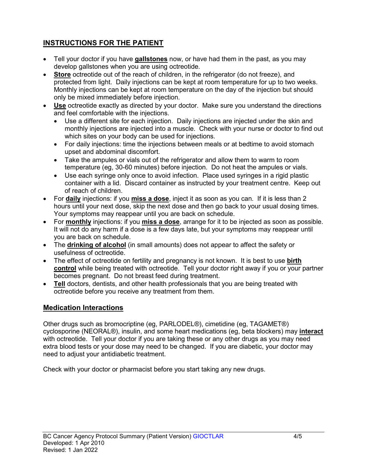# **INSTRUCTIONS FOR THE PATIENT**

- Tell your doctor if you have **gallstones** now, or have had them in the past, as you may develop gallstones when you are using octreotide.
- **Store** octreotide out of the reach of children, in the refrigerator (do not freeze), and protected from light. Daily injections can be kept at room temperature for up to two weeks. Monthly injections can be kept at room temperature on the day of the injection but should only be mixed immediately before injection.
- **Use** octreotide exactly as directed by your doctor. Make sure you understand the directions and feel comfortable with the injections.
	- Use a different site for each injection. Daily injections are injected under the skin and monthly injections are injected into a muscle. Check with your nurse or doctor to find out which sites on your body can be used for injections.
	- For daily injections: time the injections between meals or at bedtime to avoid stomach upset and abdominal discomfort.
	- Take the ampules or vials out of the refrigerator and allow them to warm to room temperature (eg, 30-60 minutes) before injection. Do not heat the ampules or vials.
	- Use each syringe only once to avoid infection. Place used syringes in a rigid plastic container with a lid. Discard container as instructed by your treatment centre. Keep out of reach of children.
- For **daily** injections: if you **miss a dose**, inject it as soon as you can. If it is less than 2 hours until your next dose, skip the next dose and then go back to your usual dosing times. Your symptoms may reappear until you are back on schedule.
- For **monthly** injections: if you **miss a dose**, arrange for it to be injected as soon as possible. It will not do any harm if a dose is a few days late, but your symptoms may reappear until you are back on schedule.
- The **drinking of alcohol** (in small amounts) does not appear to affect the safety or usefulness of octreotide.
- The effect of octreotide on fertility and pregnancy is not known. It is best to use **birth control** while being treated with octreotide. Tell your doctor right away if you or your partner becomes pregnant. Do not breast feed during treatment.
- **Tell** doctors, dentists, and other health professionals that you are being treated with octreotide before you receive any treatment from them.

## **Medication Interactions**

Other drugs such as bromocriptine (eg, PARLODEL®), cimetidine (eg, TAGAMET®) cyclosporine (NEORAL®), insulin, and some heart medications (eg, beta blockers) may **interact** with octreotide. Tell your doctor if you are taking these or any other drugs as you may need extra blood tests or your dose may need to be changed. If you are diabetic, your doctor may need to adjust your antidiabetic treatment.

Check with your doctor or pharmacist before you start taking any new drugs.